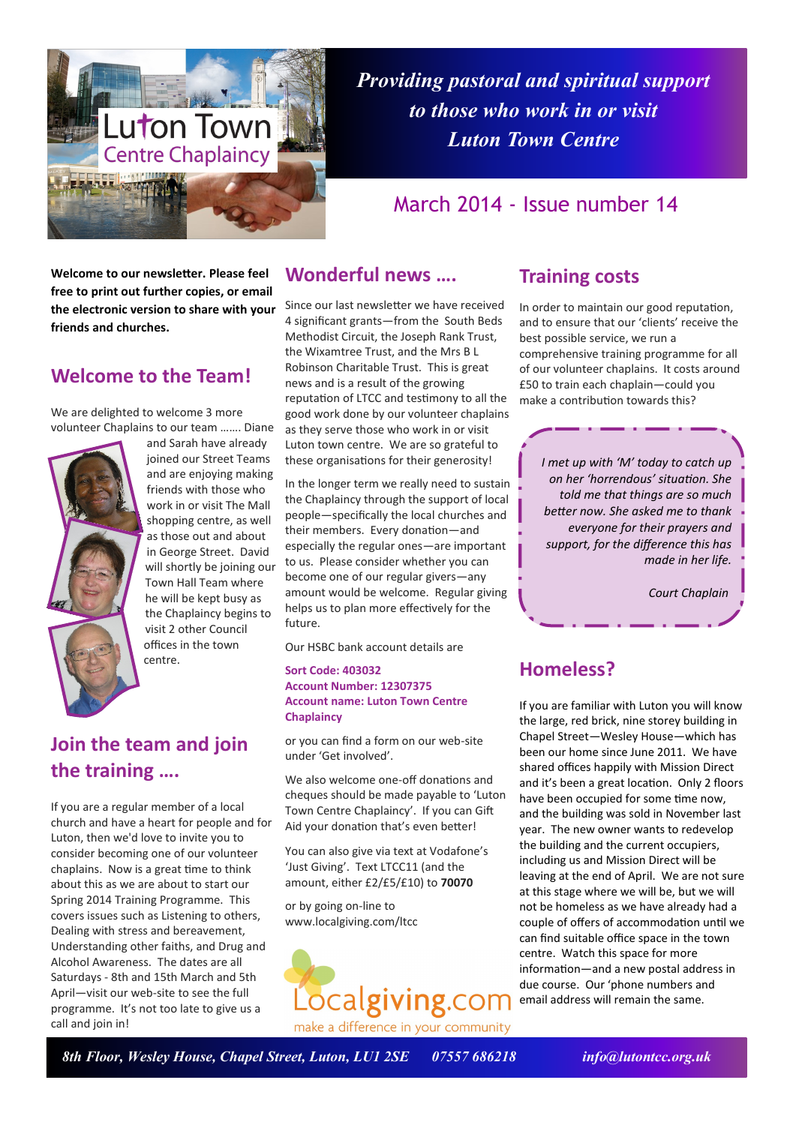

*Providing pastoral and spiritual support to those who work in or visit Luton Town Centre*

## March 2014 - Issue number 14

**Welcome to our newsletter. Please feel free to print out further copies, or email the electronic version to share with your friends and churches.**

### **Welcome to the Team!**

We are delighted to welcome 3 more volunteer Chaplains to our team ……. Diane



and Sarah have already joined our Street Teams and are enjoying making friends with those who work in or visit The Mall shopping centre, as well as those out and about in George Street. David will shortly be joining our Town Hall Team where he will be kept busy as the Chaplaincy begins to visit 2 other Council offices in the town centre.

# **Join the team and join the training ….**

If you are a regular member of a local church and have a heart for people and for Luton, then we'd love to invite you to consider becoming one of our volunteer chaplains. Now is a great time to think about this as we are about to start our Spring 2014 Training Programme. This covers issues such as Listening to others, Dealing with stress and bereavement, Understanding other faiths, and Drug and Alcohol Awareness. The dates are all Saturdays - 8th and 15th March and 5th April—visit our web-site to see the full programme. It's not too late to give us a call and join in!

### **Wonderful news ….**

Since our last newsletter we have received 4 significant grants—from the South Beds Methodist Circuit, the Joseph Rank Trust, the Wixamtree Trust, and the Mrs B L Robinson Charitable Trust. This is great news and is a result of the growing reputation of LTCC and testimony to all the good work done by our volunteer chaplains as they serve those who work in or visit Luton town centre. We are so grateful to these organisations for their generosity!

In the longer term we really need to sustain the Chaplaincy through the support of local people—specifically the local churches and their members. Every donation—and especially the regular ones—are important to us. Please consider whether you can become one of our regular givers—any amount would be welcome. Regular giving helps us to plan more effectively for the future.

Our HSBC bank account details are

### **Sort Code: 403032 Account Number: 12307375 Account name: Luton Town Centre Chaplaincy**

or you can find a form on our web-site under 'Get involved'.

We also welcome one-off donations and cheques should be made payable to 'Luton Town Centre Chaplaincy'. If you can Gift Aid your donation that's even better!

You can also give via text at Vodafone's 'Just Giving'. Text LTCC11 (and the amount, either £2/£5/£10) to **70070**

or by going on-line to www.localgiving.com/ltcc



### **Training costs**

In order to maintain our good reputation, and to ensure that our 'clients' receive the best possible service, we run a comprehensive training programme for all of our volunteer chaplains. It costs around £50 to train each chaplain—could you make a contribution towards this?

*I met up with 'M' today to catch up on her 'horrendous' situation. She told me that things are so much better now. She asked me to thank everyone for their prayers and support, for the difference this has made in her life.*

*Court Chaplain*

## **Homeless?**

If you are familiar with Luton you will know the large, red brick, nine storey building in Chapel Street—Wesley House—which has been our home since June 2011. We have shared offices happily with Mission Direct and it's been a great location. Only 2 floors have been occupied for some time now, and the building was sold in November last year. The new owner wants to redevelop the building and the current occupiers, including us and Mission Direct will be leaving at the end of April. We are not sure at this stage where we will be, but we will not be homeless as we have already had a couple of offers of accommodation until we can find suitable office space in the town centre. Watch this space for more information—and a new postal address in due course. Our 'phone numbers and email address will remain the same.

*8th Floor, Wesley House, Chapel Street, Luton, LU1 2SE 07557 686218 info@lutontcc.org.uk*